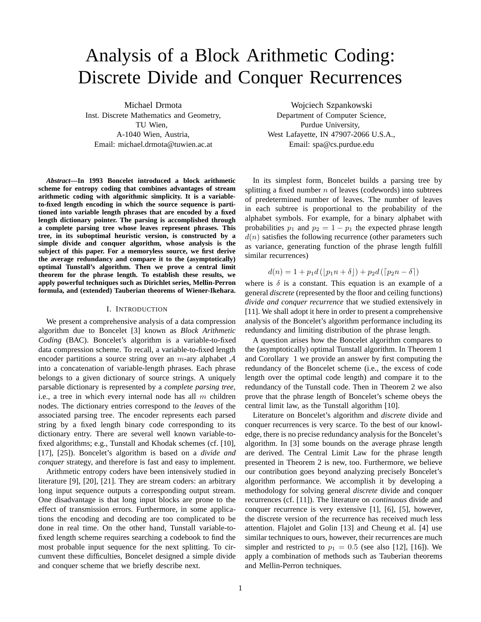# Analysis of a Block Arithmetic Coding: Discrete Divide and Conquer Recurrences

Michael Drmota Inst. Discrete Mathematics and Geometry, TU Wien, A-1040 Wien, Austria, Email: michael.drmota@tuwien.ac.at

*Abstract***—In 1993 Boncelet introduced a block arithmetic scheme for entropy coding that combines advantages of stream arithmetic coding with algorithmic simplicity. It is a variableto-fixed length encoding in which the source sequence is partitioned into variable length phrases that are encoded by a fixed length dictionary pointer. The parsing is accomplished through a complete parsing tree whose leaves represent phrases. This tree, in its suboptimal heuristic version, is constructed by a simple divide and conquer algorithm, whose analysis is the subject of this paper. For a memoryless source, we first derive the average redundancy and compare it to the (asymptotically) optimal Tunstall's algorithm. Then we prove a central limit theorem for the phrase length. To establish these results, we apply powerful techniques such as Dirichlet series, Mellin-Perron formula, and (extended) Tauberian theorems of Wiener-Ikehara.**

#### I. INTRODUCTION

We present a comprehensive analysis of a data compression algorithm due to Boncelet [3] known as *Block Arithmetic Coding* (BAC). Boncelet's algorithm is a variable-to-fixed data compression scheme. To recall, a variable-to-fixed length encoder partitions a source string over an  $m$ -ary alphabet  $A$ into a concatenation of variable-length phrases. Each phrase belongs to a given dictionary of source strings. A uniquely parsable dictionary is represented by a *complete parsing tree*, i.e., a tree in which every internal node has all  $m$  children nodes. The dictionary entries correspond to the *leaves* of the associated parsing tree. The encoder represents each parsed string by a fixed length binary code corresponding to its dictionary entry. There are several well known variable-tofixed algorithms; e.g., Tunstall and Khodak schemes (cf. [10], [17], [25]). Boncelet's algorithm is based on a *divide and conquer* strategy, and therefore is fast and easy to implement.

Arithmetic entropy coders have been intensively studied in literature [9], [20], [21]. They are stream coders: an arbitrary long input sequence outputs a corresponding output stream. One disadvantage is that long input blocks are prone to the effect of transmission errors. Furthermore, in some applications the encoding and decoding are too complicated to be done in real time. On the other hand, Tunstall variable-tofixed length scheme requires searching a codebook to find the most probable input sequence for the next splitting. To circumvent these difficulties, Boncelet designed a simple divide and conquer scheme that we briefly describe next.

Wojciech Szpankowski

Department of Computer Science, Purdue University, West Lafayette, IN 47907-2066 U.S.A., Email: spa@cs.purdue.edu

In its simplest form, Boncelet builds a parsing tree by splitting a fixed number  $n$  of leaves (codewords) into subtrees of predetermined number of leaves. The number of leaves in each subtree is proportional to the probability of the alphabet symbols. For example, for a binary alphabet with probabilities  $p_1$  and  $p_2 = 1 - p_1$  the expected phrase length  $d(n)$  satisfies the following recurrence (other parameters such as variance, generating function of the phrase length fulfill similar recurrences)

$$
d(n) = 1 + p_1 d\left(\left[p_1 n + \delta\right]\right) + p_2 d\left(\left[p_2 n - \delta\right]\right)
$$

where is  $\delta$  is a constant. This equation is an example of a general *discrete* (represented by the floor and ceiling functions) *divide and conquer recurrence* that we studied extensively in [11]. We shall adopt it here in order to present a comprehensive analysis of the Boncelet's algorithm performance including its redundancy and limiting distribution of the phrase length.

A question arises how the Boncelet algorithm compares to the (asymptotically) optimal Tunstall algorithm. In Theorem 1 and Corollary 1 we provide an answer by first computing the redundancy of the Boncelet scheme (i.e., the excess of code length over the optimal code length) and compare it to the redundancy of the Tunstall code. Then in Theorem 2 we also prove that the phrase length of Boncelet's scheme obeys the central limit law, as the Tunstall algorithm [10].

Literature on Boncelet's algorithm and *discrete* divide and conquer recurrences is very scarce. To the best of our knowledge, there is no precise redundancy analysis for the Boncelet's algorithm. In [3] some bounds on the average phrase length are derived. The Central Limit Law for the phrase length presented in Theorem 2 is new, too. Furthermore, we believe our contribution goes beyond analyzing precisely Boncelet's algorithm performance. We accomplish it by developing a methodology for solving general *discrete* divide and conquer recurrences (cf. [11]). The literature on *continuous* divide and conquer recurrence is very extensive [1], [6], [5], however, the discrete version of the recurrence has received much less attention. Flajolet and Golin [13] and Cheung et al. [4] use similar techniques to ours, however, their recurrences are much simpler and restricted to  $p_1 = 0.5$  (see also [12], [16]). We apply a combination of methods such as Tauberian theorems and Mellin-Perron techniques.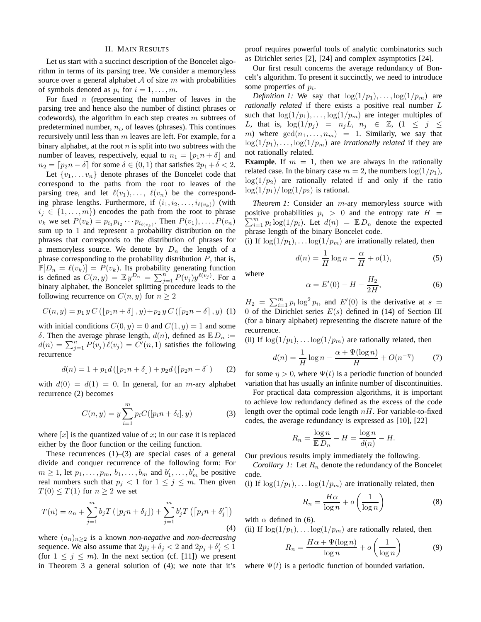#### II. MAIN RESULTS

Let us start with a succinct description of the Boncelet algorithm in terms of its parsing tree. We consider a memoryless source over a general alphabet  $A$  of size  $m$  with probabilities of symbols denoted as  $p_i$  for  $i = 1, \ldots, m$ .

For fixed  $n$  (representing the number of leaves in the parsing tree and hence also the number of distinct phrases or codewords), the algorithm in each step creates  $m$  subtrees of predetermined number,  $n_i$ , of leaves (phrases). This continues recursively until less than  $m$  leaves are left. For example, for a binary alphabet, at the root  $n$  is split into two subtrees with the number of leaves, respectively, equal to  $n_1 = |p_1n + \delta|$  and  $n_2 = [p_2n - \delta]$  for some  $\delta \in (0, 1)$  that satisfies  $2p_1 + \delta < 2$ .

Let  $\{v_1, \ldots v_n\}$  denote phrases of the Boncelet code that correspond to the paths from the root to leaves of the parsing tree, and let  $\ell(v_1), \ldots, \ell(v_n)$  be the corresponding phrase lengths. Furthermore, if  $(i_1, i_2, \ldots, i_{\ell(v_k)})$  (with  $i_j \in \{1, \ldots, m\}$  encodes the path from the root to phrase  $v_k$  we set  $P(v_k) = p_{i_1} p_{i_2} \cdots p_{i_{\ell(v_k)}}$ . Then  $P(v_1), \ldots, P(v_n)$ sum up to 1 and represent a probability distribution on the phrases that corresponds to the distribution of phrases for a memoryless source. We denote by  $D_n$  the length of a phrase corresponding to the probability distribution  $P$ , that is,  $\mathbb{P}[D_n = \ell(v_k)] = P(v_k)$ . Its probability generating function is defined as  $C(n, y) = \mathbb{E} y^{\overline{D_n}} = \sum_{j=1}^n P(v_j) y^{\ell(v_j)}$ . For a binary alphabet, the Boncelet splitting procedure leads to the following recurrence on  $C(n, y)$  for  $n > 2$ 

$$
C(n, y) = p_1 y C ([p_1 n + \delta], y) + p_2 y C ([p_2 n - \delta], y)
$$
 (1)

with initial conditions  $C(0, y) = 0$  and  $C(1, y) = 1$  and some δ. Then the average phrase length,  $d(n)$ , defined as  $E D_n :=$  $d(n) = \sum_{j=1}^{n} P(v_j) \ell(v_j) = C'(n, 1)$  satisfies the following recurrence

$$
d(n) = 1 + p_1 d\left(\left[p_1 n + \delta\right]\right) + p_2 d\left(\left[p_2 n - \delta\right]\right) \tag{2}
$$

with  $d(0) = d(1) = 0$ . In general, for an *m*-ary alphabet recurrence (2) becomes

$$
C(n, y) = y \sum_{i=1}^{m} p_i C([p_i n + \delta_i], y)
$$
 (3)

where  $[x]$  is the quantized value of x; in our case it is replaced either by the floor function or the ceiling function.

These recurrences  $(1)$ – $(3)$  are special cases of a general divide and conquer recurrence of the following form: For  $m \geq 1$ , let  $p_1, \ldots, p_m, b_1, \ldots, b_m$  and  $b'_1, \ldots, b'_m$  be positive real numbers such that  $p_j < 1$  for  $1 \le j \le m$ . Then given  $T(0) \leq T(1)$  for  $n \geq 2$  we set

$$
T(n) = a_n + \sum_{j=1}^{m} b_j T\left( \lfloor p_j n + \delta_j \rfloor \right) + \sum_{j=1}^{m} b'_j T\left( \lceil p_j n + \delta'_j \rceil \right)
$$
\n(4)

where  $(a_n)_{n\geq 2}$  is a known *non-negative* and *non-decreasing* sequence. We also assume that  $2p_j + \delta_j < 2$  and  $2p_j + \delta'_j \leq 1$ (for  $1 \leq j \leq m$ ). In the next section (cf. [11]) we present in Theorem 3 a general solution of (4); we note that it's

proof requires powerful tools of analytic combinatorics such as Dirichlet series [2], [24] and complex asymptotics [24].

Our first result concerns the average redundancy of Boncelt's algorithm. To present it succinctly, we need to introduce some properties of  $p_i$ .

*Definition 1:* We say that  $\log(1/p_1), \ldots, \log(1/p_m)$  are *rationally related* if there exists a positive real number L such that  $\log(1/p_1), \ldots, \log(1/p_m)$  are integer multiples of L, that is,  $\log(1/p_j) = n_j L$ ,  $n_j \in \mathbb{Z}$ ,  $(1 \leq j \leq$ m) where  $gcd(n_1, \ldots, n_m) = 1$ . Similarly, we say that  $\log(1/p_1), \ldots, \log(1/p_m)$  are *irrationally related* if they are not rationally related.

**Example**. If  $m = 1$ , then we are always in the rationally related case. In the binary case  $m = 2$ , the numbers  $\log(1/p_1)$ ,  $log(1/p_2)$  are rationally related if and only if the ratio  $\log(1/p_1)/\log(1/p_2)$  is rational.

*Theorem 1:* Consider an m-ary memoryless source with positive probabilities  $p_i > 0$  and the entropy rate  $H =$  $\sum_{i=1}^{m} p_i \log(1/p_i)$ . Let  $d(n) = \mathbb{E} D_n$  denote the expected phrase length of the binary Boncelet code.

(i) If  $\log(1/p_1), \ldots \log(1/p_m)$  are irrationally related, then

$$
d(n) = \frac{1}{H}\log n - \frac{\alpha}{H} + o(1),\tag{5}
$$

where

$$
\alpha = E'(0) - H - \frac{H_2}{2H},\tag{6}
$$

 $H_2 = \sum_{i=1}^m p_i \log^2 p_i$ , and  $E'(0)$  is the derivative at  $s =$ 0 of the Dirichlet series  $E(s)$  defined in (14) of Section III (for a binary alphabet) representing the discrete nature of the recurrence.

(ii) If  $\log(1/p_1), \ldots \log(1/p_m)$  are rationally related, then

$$
d(n) = \frac{1}{H} \log n - \frac{\alpha + \Psi(\log n)}{H} + O(n^{-\eta})
$$
 (7)

for some  $\eta > 0$ , where  $\Psi(t)$  is a periodic function of bounded variation that has usually an infinite number of discontinuities.

For practical data compression algorithms, it is important to achieve low redundancy defined as the excess of the code length over the optimal code length  $nH$ . For variable-to-fixed codes, the average redundancy is expressed as [10], [22]

$$
R_n = \frac{\log n}{\mathbb{E} D_n} - H = \frac{\log n}{d(n)} - H.
$$

Our previous results imply immediately the following.

*Corollary 1:* Let  $R_n$  denote the redundancy of the Boncelet code.

(i) If  $\log(1/p_1), \ldots \log(1/p_m)$  are irrationally related, then

$$
R_n = \frac{H\alpha}{\log n} + o\left(\frac{1}{\log n}\right) \tag{8}
$$

with  $\alpha$  defined in (6).

(ii) If  $\log(1/p_1), \ldots \log(1/p_m)$  are rationally related, then

$$
R_n = \frac{H\alpha + \Psi(\log n)}{\log n} + o\left(\frac{1}{\log n}\right) \tag{9}
$$

where  $\Psi(t)$  is a periodic function of bounded variation.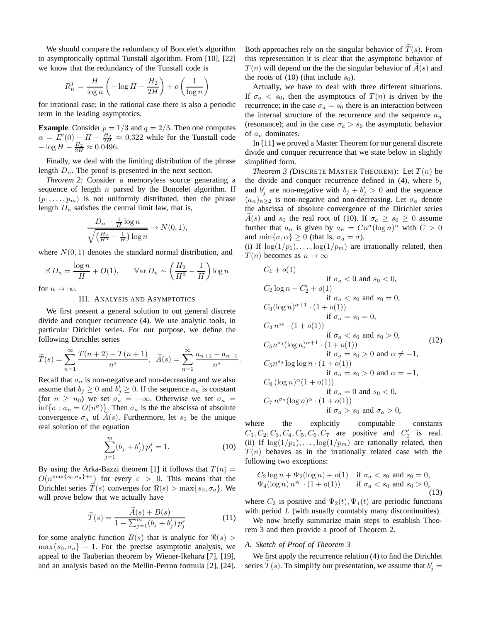We should compare the redundancy of Boncelet's algorithm to asymptotically optimal Tunstall algorithm. From [10], [22] we know that the redundancy of the Tunstall code is

$$
R_n^T = \frac{H}{\log n} \left( -\log H - \frac{H_2}{2H} \right) + o\left( \frac{1}{\log n} \right)
$$

for irrational case; in the rational case there is also a periodic term in the leading asymptotics.

**Example**. Consider  $p = 1/3$  and  $q = 2/3$ . Then one computes  $\alpha = E'(0) - H - \frac{H_2}{2H} \approx 0.322$  while for the Tunstall code  $-\log H - \frac{H_2}{2H} \approx 0.0496.$ 

Finally, we deal with the limiting distribution of the phrase length  $D_n$ . The proof is presented in the next section.

*Theorem 2:* Consider a memoryless source generating a sequence of length  $n$  parsed by the Boncelet algorithm. If  $(p_1, \ldots, p_m)$  is not uniformly distributed, then the phrase length  $D_n$  satisfies the central limit law, that is,

$$
\frac{D_n - \frac{1}{H} \log n}{\sqrt{\left(\frac{H_2}{H^3} - \frac{1}{H}\right) \log n}} \to N(0, 1),
$$

where  $N(0, 1)$  denotes the standard normal distribution, and

$$
\mathbb{E}\,D_n = \frac{\log n}{H} + O(1), \qquad \mathbb{V}\text{ar}\,D_n \sim \left(\frac{H_2}{H^3} - \frac{1}{H}\right)\log n
$$

for  $n \to \infty$ .

### III. ANALYSIS AND ASYMPTOTICS

We first present a general solution to out general discrete divide and conquer recurrence (4). We use analytic tools, in particular Dirichlet series. For our purpose, we define the following Dirichlet series

$$
\widetilde{T}(s) = \sum_{n=1}^{\infty} \frac{T(n+2) - T(n+1)}{n^s}, \quad \widetilde{A}(s) = \sum_{n=1}^{\infty} \frac{a_{n+2} - a_{n+1}}{n^s}
$$

Recall that  $a_n$  is non-negative and non-decreasing and we also assume that  $b_j \geq 0$  and  $b'_j \geq 0$ . If the sequence  $a_n$  is constant (for  $n \ge n_0$ ) we set  $\sigma_a = -\infty$ . Otherwise we set  $\sigma_a =$  $\inf{\lbrace \sigma : a_n = O(n^{\sigma}) \rbrace}$ . Then  $\sigma_a$  is the the abscissa of absolute convergence  $\sigma_a$  of  $A(s)$ . Furthermore, let  $s_0$  be the unique real solution of the equation

$$
\sum_{j=1}^{m} (b_j + b'_j) p_j^s = 1.
$$
 (10)

.

By using the Arka-Bazzi theorem [1] it follows that  $T(n) =$  $O(n^{\max\{s_0, \sigma_a\}+\varepsilon})$  for every  $\varepsilon > 0$ . This means that the Dirichlet series  $\tilde{T}(s)$  converges for  $\Re(s) > \max\{s_0, \sigma_a\}$ . We will prove below that we actually have

$$
\widetilde{T}(s) = \frac{\widetilde{A}(s) + B(s)}{1 - \sum_{j=1}^{m} (b_j + b'_j) p_j^s}
$$
\n(11)

for some analytic function  $B(s)$  that is analytic for  $\Re(s)$  $\max\{s_0, \sigma_a\}$  – 1. For the precise asymptotic analysis, we appeal to the Tauberian theorem by Wiener-Ikehara [7], [19], and an analysis based on the Mellin-Perron formula [2], [24]. Both approaches rely on the singular behavior of  $T(s)$ . From this representation it is clear that the asymptotic behavior of  $T(n)$  will depend on the the singular behavior of  $A(s)$  and the roots of (10) (that include  $s_0$ ).

Actually, we have to deal with three different situations. If  $\sigma_a < s_0$ , then the asymptotics of  $T(n)$  is driven by the recurrence; in the case  $\sigma_a = s_0$  there is an interaction between the internal structure of the recurrence and the sequence  $a_n$ (resonance); and in the case  $\sigma_a > s_0$  the asymptotic behavior of  $a_n$  dominates.

In [11] we proved a Master Theorem for our general discrete divide and conquer recurrence that we state below in slightly simplified form.

*Theorem 3 (DISCRETE MASTER THEOREM):* Let  $T(n)$  be the divide and conquer recurrence defined in (4), where  $b_j$ and  $b'_j$  are non-negative with  $b_j + b'_j > 0$  and the sequence  $(a_n)_{n\geq 2}$  is non-negative and non-decreasing. Let  $\sigma_a$  denote the abscissa of absolute convergence of the Dirichlet series  $A(s)$  and  $s_0$  the real root of (10). If  $\sigma_a \geq s_0 \geq 0$  assume further that  $a_n$  is given by  $a_n = Cn^{\sigma}(\log n)^{\alpha}$  with  $C > 0$ and  $\min\{\sigma, \alpha\} \geq 0$  (that is,  $\sigma_a = \sigma$ ).

(i) If  $\log(1/p_1), \ldots, \log(1/p_m)$  are irrationally related, then  $T(n)$  becomes as  $n \to \infty$ 

$$
C_1 + o(1)
$$
  
if  $\sigma_a < 0$  and  $s_0 < 0$ ,  
 $C_2 \log n + C'_2 + o(1)$   
if  $\sigma_a < s_0$  and  $s_0 = 0$ ,  
 $C_3(\log n)^{\alpha+1} \cdot (1 + o(1))$   
if  $\sigma_a = s_0 = 0$ ,  
 $C_4 n^{s_0} \cdot (1 + o(1))$   
if  $\sigma_a < s_0$  and  $s_0 > 0$ ,  
 $C_5 n^{s_0} (\log n)^{\alpha+1} \cdot (1 + o(1))$   
if  $\sigma_a = s_0 > 0$  and  $\alpha \neq -1$ ,  
 $C_5 n^{s_0} \log \log n \cdot (1 + o(1))$   
if  $\sigma_a = s_0 > 0$  and  $\alpha = -1$ ,  
 $C_6 (\log n)^{\alpha} (1 + o(1))$   
if  $\sigma_a = 0$  and  $s_0 < 0$ ,  
 $C_7 n^{\sigma_a} (\log n)^{\alpha} \cdot (1 + o(1))$   
if  $\sigma_a > s_0$  and  $\sigma_a > 0$ ,

where the explicitly computable constants  $C_1, C_2, C_3, C_4, C_5, C_6, C_7$  are positive and  $C'_2$  is real. (ii) If  $\log(1/p_1), \ldots, \log(1/p_m)$  are rationally related, then  $T(n)$  behaves as in the irrationally related case with the following two exceptions:

$$
C_2 \log n + \Psi_2(\log n) + o(1) \quad \text{if } \sigma_a < s_0 \text{ and } s_0 = 0, \\
\Psi_4(\log n) \, n^{s_0} \cdot (1 + o(1)) \qquad \text{if } \sigma_a < s_0 \text{ and } s_0 > 0,\n\tag{13}
$$

where  $C_2$  is positive and  $\Psi_2(t), \Psi_4(t)$  are periodic functions with period  $L$  (with usually countably many discontinuities).

We now briefly summarize main steps to establish Theorem 3 and then provide a proof of Theorem 2.

#### *A. Sketch of Proof of Theorem 3*

We first apply the recurrence relation (4) to find the Dirichlet series  $T(s)$ . To simplify our presentation, we assume that  $b'_j =$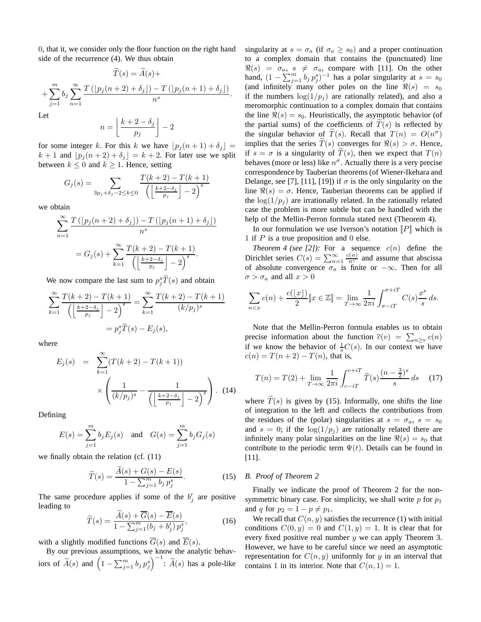0, that it, we consider only the floor function on the right hand side of the recurrence (4). We thus obtain

$$
T(s) = A(s) +
$$
  
+ 
$$
\sum_{j=1}^{m} b_j \sum_{n=1}^{\infty} \frac{T(\lfloor p_j(n+2) + \delta_j \rfloor) - T(\lfloor p_j(n+1) + \delta_j \rfloor)}{n^s}.
$$
  
Let

 $\mathbf I$ 

$$
n = \left\lfloor \frac{k+2-\delta_j}{p_j} \right\rfloor - 2
$$

for some integer k. For this k we have  $\lfloor p_j(n+1) + \delta_j \rfloor =$  $k + 1$  and  $[p_j(n+2) + \delta_j] = k + 2$ . For later use we split between  $k \leq 0$  and  $k \geq 1$ . Hence, setting

$$
G_j(s) = \sum_{3p_j + \delta_j - 2 \le k \le 0} \frac{T(k+2) - T(k+1)}{\left(\left\lfloor \frac{k+2-\delta_j}{p_j} \right\rfloor - 2\right)^s}
$$

we obtain

$$
\sum_{n=1}^{\infty} \frac{T\left(\left[p_j(n+2)+\delta_j\right]\right) - T\left(\left[p_j(n+1)+\delta_j\right]\right)}{n^s}
$$

$$
= G_j(s) + \sum_{k=1}^{\infty} \frac{T(k+2) - T(k+1)}{\left(\left\lfloor\frac{k+2-\delta_j}{p_j}\right\rfloor - 2\right)^s}.
$$

We now compare the last sum to  $p_j^s \tilde{T}(s)$  and obtain

$$
\sum_{k=1}^{\infty} \frac{T(k+2) - T(k+1)}{\left(\left\lfloor \frac{k+2-\delta_j}{p_j} \right\rfloor - 2\right)^s} = \sum_{k=1}^{\infty} \frac{T(k+2) - T(k+1)}{(k/p_j)^s}
$$

$$
= p_j^s \widetilde{T}(s) - E_j(s),
$$

where

$$
E_j(s) = \sum_{k=1}^{\infty} (T(k+2) - T(k+1))
$$

$$
\times \left( \frac{1}{(k/p_j)^s} - \frac{1}{\left( \left\lfloor \frac{k+2-\delta_j}{p_j} \right\rfloor - 2 \right)^s} \right). (14)
$$

Defining

$$
E(s) = \sum_{j=1}^{m} b_j E_j(s)
$$
 and  $G(s) = \sum_{j=1}^{m} b_j G_j(s)$ 

we finally obtain the relation (cf. (11)

$$
\widetilde{T}(s) = \frac{\widetilde{A}(s) + G(s) - E(s)}{1 - \sum_{j=1}^{m} b_j p_j^s}.
$$
\n(15)

The same procedure applies if some of the  $b'_j$  are positive leading to

$$
\widetilde{T}(s) = \frac{\widetilde{A}(s) + \overline{G}(s) - \overline{E}(s)}{1 - \sum_{j=1}^{m} (b_j + b'_j) p_j^s},
$$
\n(16)

with a slightly modified functions  $\overline{G}(s)$  and  $\overline{E}(s)$ .

By our previous assumptions, we know the analytic behaviors of  $\widetilde{A}(s)$  and  $\left(1 - \sum_{j=1}^m b_j p_j^s\right)^{-1}$ :  $\widetilde{A}(s)$  has a pole-like

singularity at  $s = \sigma_a$  (if  $\sigma_a \geq s_0$ ) and a proper continuation to a complex domain that contains the (punctuated) line  $\Re(s) = \sigma_a, s \neq \sigma_a$ , compare with [11]. On the other hand,  $(1 - \sum_{j=1}^{m} b_j p_j^s)^{-1}$  has a polar singularity at  $s = s_0$ (and infinitely many other poles on the line  $\Re(s) = s_0$ if the numbers  $log(1/p_i)$  are rationally related), and also a meromorphic continuation to a complex domain that contains the line  $\Re(s) = s_0$ . Heuristically, the asymptotic behavior (of the partial sums) of the coefficients of  $T(s)$  is reflected by the singular behavior of  $T(s)$ . Recall that  $T(n) = O(n^{\sigma})$ implies that the series  $\widetilde{T}(s)$  converges for  $\Re(s) > \sigma$ . Hence, if  $s = \sigma$  is a singularity of  $T(s)$ , then we expect that  $T(n)$ behaves (more or less) like  $n^{\sigma}$ . Actually there is a very precise correspondence by Tauberian theorems (of Wiener-Ikehara and Delange, see [7], [11], [19]) if  $\sigma$  is the only singularity on the line  $\Re(s) = \sigma$ . Hence, Tauberian theorems can be applied if the  $\log(1/p_i)$  are irrationally related. In the rationally related case the problem is more subtle but can be handled with the help of the Mellin-Perron formula stated next (Theorem 4).

In our formulation we use Iverson's notation  $\llbracket P \rrbracket$  which is 1 if  $P$  is a true proposition and 0 else.

*Theorem 4 (see [2]):* For a sequence  $c(n)$  define the Dirichlet series  $C(s) = \sum_{n=1}^{\infty} \frac{c(n)}{n^s}$  and assume that abscissa of absolute convergence  $\sigma_a$  is finite or  $-\infty$ . Then for all  $\sigma > \sigma_a$  and all  $x > 0$ 

$$
\sum_{n < x} c(n) + \frac{c(\lfloor x \rfloor)}{2} \llbracket x \in \mathbb{Z} \rrbracket = \lim_{T \to \infty} \frac{1}{2\pi i} \int_{\sigma - iT}^{\sigma + iT} C(s) \frac{x^s}{s} ds.
$$

Note that the Mellin-Perron formula enables us to obtain precise information about the function  $\overline{c}(v) = \sum_{n \geq v} c(n)$ if we know the behavior of  $\frac{1}{s}C(s)$ . In our context we have  $c(n) = T(n+2) - T(n)$ , that is,

$$
T(n) = T(2) + \lim_{T \to \infty} \frac{1}{2\pi i} \int_{c-iT}^{c+iT} \tilde{T}(s) \frac{(n-\frac{3}{2})^s}{s} ds \quad (17)
$$

where  $\tilde{T}(s)$  is given by (15). Informally, one shifts the line of integration to the left and collects the contributions from the residues of the (polar) singularities at  $s = \sigma_a$ ,  $s = s_0$ and  $s = 0$ ; if the  $\log(1/p_i)$  are rationally related there are infinitely many polar singularities on the line  $\Re(s) = s_0$  that contribute to the periodic term  $\Psi(t)$ . Details can be found in [11].

## *B. Proof of Theorem 2*

Finally we indicate the proof of Theorem 2 for the nonsymmetric binary case. For simplicity, we shall write  $p$  for  $p_1$ and q for  $p_2 = 1 - p \neq p_1$ .

We recall that  $C(n, y)$  satisfies the recurrence (1) with initial conditions  $C(0, y) = 0$  and  $C(1, y) = 1$ . It is clear that for every fixed positive real number  $y$  we can apply Theorem 3. However, we have to be careful since we need an asymptotic representation for  $C(n, y)$  uniformly for y in an interval that contains 1 in its interior. Note that  $C(n, 1) = 1$ .